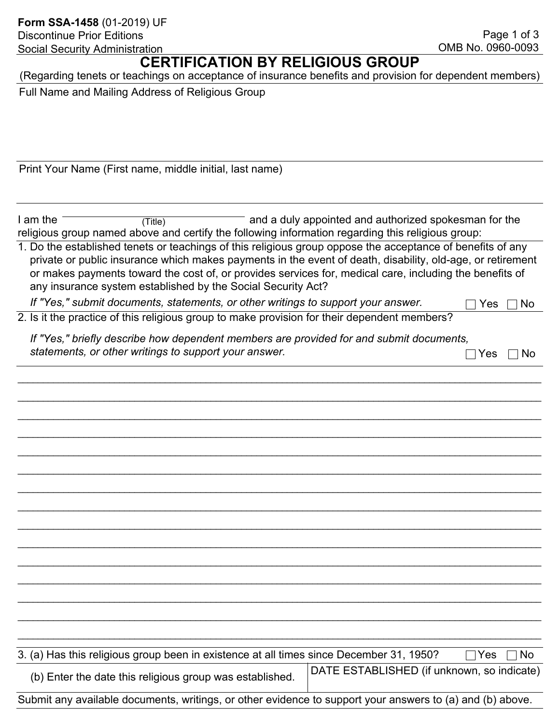## **CERTIFICATION BY RELIGIOUS GROUP**

(Regarding tenets or teachings on acceptance of insurance benefits and provision for dependent members)

Full Name and Mailing Address of Religious Group

Print Your Name (First name, middle initial, last name)

I am the <u>Community (Title</u>) Controller and a duly appointed and authorized spokesman for the religious group named above and certify the following information regarding this religious group: (Title)

1. Do the established tenets or teachings of this religious group oppose the acceptance of benefits of any private or public insurance which makes payments in the event of death, disability, old-age, or retirement or makes payments toward the cost of, or provides services for, medical care, including the benefits of any insurance system established by the Social Security Act?

\_\_\_\_\_\_\_\_\_\_\_\_\_\_\_\_\_\_\_\_\_\_\_\_\_\_\_\_\_\_\_\_\_\_\_\_\_\_\_\_\_\_\_\_\_\_\_\_\_\_\_\_\_\_\_\_\_\_\_\_\_\_\_\_\_\_\_\_\_\_\_\_\_\_\_\_\_\_\_\_\_\_\_\_\_\_\_\_\_\_\_\_\_\_\_\_\_\_\_\_\_\_\_

\_\_\_\_\_\_\_\_\_\_\_\_\_\_\_\_\_\_\_\_\_\_\_\_\_\_\_\_\_\_\_\_\_\_\_\_\_\_\_\_\_\_\_\_\_\_\_\_\_\_\_\_\_\_\_\_\_\_\_\_\_\_\_\_\_\_\_\_\_\_\_\_\_\_\_\_\_\_\_\_\_\_\_\_\_\_\_\_\_\_\_\_\_\_\_\_\_\_\_\_\_\_\_

\_\_\_\_\_\_\_\_\_\_\_\_\_\_\_\_\_\_\_\_\_\_\_\_\_\_\_\_\_\_\_\_\_\_\_\_\_\_\_\_\_\_\_\_\_\_\_\_\_\_\_\_\_\_\_\_\_\_\_\_\_\_\_\_\_\_\_\_\_\_\_\_\_\_\_\_\_\_\_\_\_\_\_\_\_\_\_\_\_\_\_\_\_\_\_\_\_\_\_\_\_\_\_

\_\_\_\_\_\_\_\_\_\_\_\_\_\_\_\_\_\_\_\_\_\_\_\_\_\_\_\_\_\_\_\_\_\_\_\_\_\_\_\_\_\_\_\_\_\_\_\_\_\_\_\_\_\_\_\_\_\_\_\_\_\_\_\_\_\_\_\_\_\_\_\_\_\_\_\_\_\_\_\_\_\_\_\_\_\_\_\_\_\_\_\_\_\_\_\_\_\_\_\_\_\_\_

\_\_\_\_\_\_\_\_\_\_\_\_\_\_\_\_\_\_\_\_\_\_\_\_\_\_\_\_\_\_\_\_\_\_\_\_\_\_\_\_\_\_\_\_\_\_\_\_\_\_\_\_\_\_\_\_\_\_\_\_\_\_\_\_\_\_\_\_\_\_\_\_\_\_\_\_\_\_\_\_\_\_\_\_\_\_\_\_\_\_\_\_\_\_\_\_\_\_\_\_\_\_\_

\_\_\_\_\_\_\_\_\_\_\_\_\_\_\_\_\_\_\_\_\_\_\_\_\_\_\_\_\_\_\_\_\_\_\_\_\_\_\_\_\_\_\_\_\_\_\_\_\_\_\_\_\_\_\_\_\_\_\_\_\_\_\_\_\_\_\_\_\_\_\_\_\_\_\_\_\_\_\_\_\_\_\_\_\_\_\_\_\_\_\_\_\_\_\_\_\_\_\_\_\_\_\_

\_\_\_\_\_\_\_\_\_\_\_\_\_\_\_\_\_\_\_\_\_\_\_\_\_\_\_\_\_\_\_\_\_\_\_\_\_\_\_\_\_\_\_\_\_\_\_\_\_\_\_\_\_\_\_\_\_\_\_\_\_\_\_\_\_\_\_\_\_\_\_\_\_\_\_\_\_\_\_\_\_\_\_\_\_\_\_\_\_\_\_\_\_\_\_\_\_\_\_\_\_\_\_

\_\_\_\_\_\_\_\_\_\_\_\_\_\_\_\_\_\_\_\_\_\_\_\_\_\_\_\_\_\_\_\_\_\_\_\_\_\_\_\_\_\_\_\_\_\_\_\_\_\_\_\_\_\_\_\_\_\_\_\_\_\_\_\_\_\_\_\_\_\_\_\_\_\_\_\_\_\_\_\_\_\_\_\_\_\_\_\_\_\_\_\_\_\_\_\_\_\_\_\_\_\_\_

\_\_\_\_\_\_\_\_\_\_\_\_\_\_\_\_\_\_\_\_\_\_\_\_\_\_\_\_\_\_\_\_\_\_\_\_\_\_\_\_\_\_\_\_\_\_\_\_\_\_\_\_\_\_\_\_\_\_\_\_\_\_\_\_\_\_\_\_\_\_\_\_\_\_\_\_\_\_\_\_\_\_\_\_\_\_\_\_\_\_\_\_\_\_\_\_\_\_\_\_\_\_\_

\_\_\_\_\_\_\_\_\_\_\_\_\_\_\_\_\_\_\_\_\_\_\_\_\_\_\_\_\_\_\_\_\_\_\_\_\_\_\_\_\_\_\_\_\_\_\_\_\_\_\_\_\_\_\_\_\_\_\_\_\_\_\_\_\_\_\_\_\_\_\_\_\_\_\_\_\_\_\_\_\_\_\_\_\_\_\_\_\_\_\_\_\_\_\_\_\_\_\_\_\_\_\_

\_\_\_\_\_\_\_\_\_\_\_\_\_\_\_\_\_\_\_\_\_\_\_\_\_\_\_\_\_\_\_\_\_\_\_\_\_\_\_\_\_\_\_\_\_\_\_\_\_\_\_\_\_\_\_\_\_\_\_\_\_\_\_\_\_\_\_\_\_\_\_\_\_\_\_\_\_\_\_\_\_\_\_\_\_\_\_\_\_\_\_\_\_\_\_\_\_\_\_\_\_\_\_

\_\_\_\_\_\_\_\_\_\_\_\_\_\_\_\_\_\_\_\_\_\_\_\_\_\_\_\_\_\_\_\_\_\_\_\_\_\_\_\_\_\_\_\_\_\_\_\_\_\_\_\_\_\_\_\_\_\_\_\_\_\_\_\_\_\_\_\_\_\_\_\_\_\_\_\_\_\_\_\_\_\_\_\_\_\_\_\_\_\_\_\_\_\_\_\_\_\_\_\_\_\_\_

\_\_\_\_\_\_\_\_\_\_\_\_\_\_\_\_\_\_\_\_\_\_\_\_\_\_\_\_\_\_\_\_\_\_\_\_\_\_\_\_\_\_\_\_\_\_\_\_\_\_\_\_\_\_\_\_\_\_\_\_\_\_\_\_\_\_\_\_\_\_\_\_\_\_\_\_\_\_\_\_\_\_\_\_\_\_\_\_\_\_\_\_\_\_\_\_\_\_\_\_\_\_\_

\_\_\_\_\_\_\_\_\_\_\_\_\_\_\_\_\_\_\_\_\_\_\_\_\_\_\_\_\_\_\_\_\_\_\_\_\_\_\_\_\_\_\_\_\_\_\_\_\_\_\_\_\_\_\_\_\_\_\_\_\_\_\_\_\_\_\_\_\_\_\_\_\_\_\_\_\_\_\_\_\_\_\_\_\_\_\_\_\_\_\_\_\_\_\_\_\_\_\_\_\_\_\_

\_\_\_\_\_\_\_\_\_\_\_\_\_\_\_\_\_\_\_\_\_\_\_\_\_\_\_\_\_\_\_\_\_\_\_\_\_\_\_\_\_\_\_\_\_\_\_\_\_\_\_\_\_\_\_\_\_\_\_\_\_\_\_\_\_\_\_\_\_\_\_\_\_\_\_\_\_\_\_\_\_\_\_\_\_\_\_\_\_\_\_\_\_\_\_\_\_\_\_\_\_\_\_

*If "Yes," submit documents, statements, or other writings to support your answer.*  $\Box$  Yes  $\Box$  No

2. Is it the practice of this religious group to make provision for their dependent members?

 *If "Yes," briefly describe how dependent members are provided for and submit documents, statements, or other writings to support your answer.* 

|  | - |
|--|---|
|--|---|

| 3. (a) Has this religious group been in existence at all times since December 31, 1950? |                                            | $\Box$ Yes $\Box$ No |
|-----------------------------------------------------------------------------------------|--------------------------------------------|----------------------|
| (b) Enter the date this religious group was established.                                | DATE ESTABLISHED (if unknown, so indicate) |                      |

Submit any available documents, writings, or other evidence to support your answers to (a) and (b) above.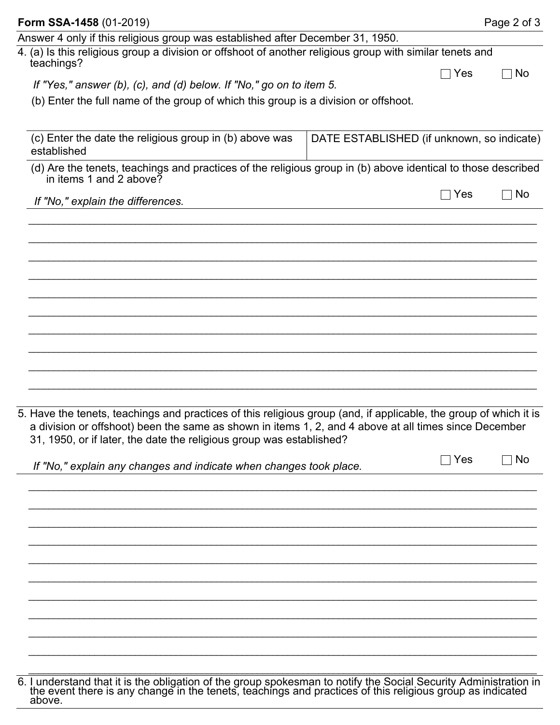| Form SSA-1458 (01-2019)                                                                                                                                                                                                                                                                            |                                            | Page 2 of 3 |
|----------------------------------------------------------------------------------------------------------------------------------------------------------------------------------------------------------------------------------------------------------------------------------------------------|--------------------------------------------|-------------|
| Answer 4 only if this religious group was established after December 31, 1950.                                                                                                                                                                                                                     |                                            |             |
| 4. (a) Is this religious group a division or offshoot of another religious group with similar tenets and<br>teachings?                                                                                                                                                                             |                                            |             |
| If "Yes," answer (b), (c), and (d) below. If "No," go on to item 5.                                                                                                                                                                                                                                | $\sqcap$ Yes                               | No          |
| (b) Enter the full name of the group of which this group is a division or offshoot.                                                                                                                                                                                                                |                                            |             |
|                                                                                                                                                                                                                                                                                                    |                                            |             |
|                                                                                                                                                                                                                                                                                                    |                                            |             |
| (c) Enter the date the religious group in (b) above was<br>established                                                                                                                                                                                                                             | DATE ESTABLISHED (if unknown, so indicate) |             |
| (d) Are the tenets, teachings and practices of the religious group in (b) above identical to those described<br>in items 1 and 2 above?                                                                                                                                                            |                                            |             |
| If "No," explain the differences.                                                                                                                                                                                                                                                                  | $\sqcap$ Yes                               | No          |
|                                                                                                                                                                                                                                                                                                    |                                            |             |
|                                                                                                                                                                                                                                                                                                    |                                            |             |
|                                                                                                                                                                                                                                                                                                    |                                            |             |
|                                                                                                                                                                                                                                                                                                    |                                            |             |
|                                                                                                                                                                                                                                                                                                    |                                            |             |
|                                                                                                                                                                                                                                                                                                    |                                            |             |
|                                                                                                                                                                                                                                                                                                    |                                            |             |
|                                                                                                                                                                                                                                                                                                    |                                            |             |
| 5. Have the tenets, teachings and practices of this religious group (and, if applicable, the group of which it is<br>a division or offshoot) been the same as shown in items 1, 2, and 4 above at all times since December<br>31, 1950, or if later, the date the religious group was established? |                                            |             |
| If "No," explain any changes and indicate when changes took place.                                                                                                                                                                                                                                 | $\Box$ Yes                                 | $\Box$ No   |
|                                                                                                                                                                                                                                                                                                    |                                            |             |
|                                                                                                                                                                                                                                                                                                    |                                            |             |
|                                                                                                                                                                                                                                                                                                    |                                            |             |
|                                                                                                                                                                                                                                                                                                    |                                            |             |
|                                                                                                                                                                                                                                                                                                    |                                            |             |
|                                                                                                                                                                                                                                                                                                    |                                            |             |
|                                                                                                                                                                                                                                                                                                    |                                            |             |
|                                                                                                                                                                                                                                                                                                    |                                            |             |
|                                                                                                                                                                                                                                                                                                    |                                            |             |

<sup>6.</sup> I understand that it is the obligation of the group spokesman to notify the Social Security Administration in the event there is any change in the tenets, teachings and practices of this religious group as indicated above.